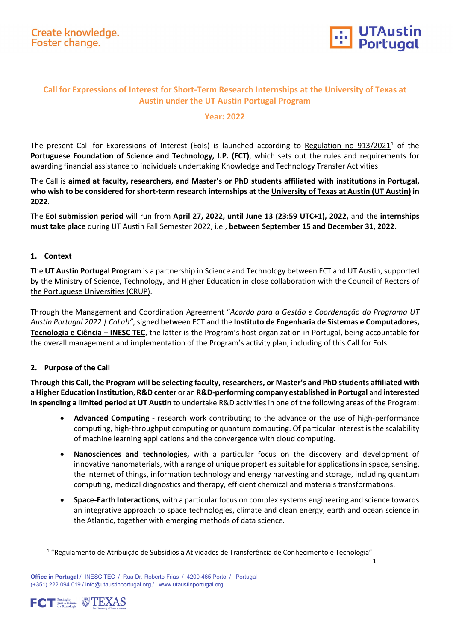

1

## **Call for Expressions of Interest for Short-Term Research Internships at the University of Texas at Austin under the UT Austin Portugal Program**

### **Year: 2022**

The present Call for Expressions of Interest (EoIs) is launched according to Regulation no  $913/2021<sup>1</sup>$  $913/2021<sup>1</sup>$  $913/2021<sup>1</sup>$  of the **[Portuguese Foundation of Science and Technology, I.P.](https://www.fct.pt/) (FCT)**, which sets out the rules and requirements for awarding financial assistance to individuals undertaking Knowledge and Technology Transfer Activities.

The Call is **aimed at faculty, researchers, and Master's or PhD students affiliated with institutions in Portugal, who wish to be considered for short-term research internships at the [University of Texas at Austin \(UT Austin\)](https://www.utexas.edu/) in 2022**.

The **EoI submission period** will run from **April 27, 2022, until June 13 (23:59 UTC+1), 2022,** and the **internships must take place** during UT Austin Fall Semester 2022, i.e., **between September 15 and December 31, 2022.**

### **1. Context**

The **[UT Austin Portugal Program](https://utaustinportugal.org/)** is a partnership in Science and Technology between FCT and UT Austin,supported by the Ministry of Science, Technology, and Higher Education in close collaboration with the Council of Rectors of [the Portuguese Universities \(CRUP\).](http://www.crup.pt/) 

Through the Management and Coordination Agreement "*Acordo para a Gestão e Coordenação do Programa UT Austin Portugal 2022 | CoLab"*, signed between FCT and the **[Instituto de Engenharia de Sistemas e Computadores,](https://www.inesctec.pt/)  [Tecnologia e Ciência –](https://www.inesctec.pt/) INESC TEC**, the latter is the Program's host organization in Portugal, being accountable for the overall management and implementation of the Program's activity plan, including of this Call for EoIs.

## **2. Purpose of the Call**

**Through this Call, the Program will be selecting faculty, researchers, or Master's and PhD students affiliated with a Higher Education Institution**, **R&D center** or an **R&D-performing company established in Portugal** and **interested in spending a limited period at UT Austin** to undertake R&D activities in one of the following areas of the Program:

- **Advanced Computing -** research work contributing to the advance or the use of high-performance computing, high-throughput computing or quantum computing. Of particular interest is the scalability of machine learning applications and the convergence with cloud computing.
- **Nanosciences and technologies,** with a particular focus on the discovery and development of innovative nanomaterials, with a range of unique properties suitable for applications in space, sensing, the internet of things, information technology and energy harvesting and storage, including quantum computing, medical diagnostics and therapy, efficient chemical and materials transformations.
- **Space-Earth Interactions**, with a particular focus on complex systems engineering and science towards an integrative approach to space technologies, climate and clean energy, earth and ocean science in the Atlantic, together with emerging methods of data science.

<span id="page-0-0"></span>**Office in Portugal** / INESC TEC / Rua Dr. Roberto Frias / 4200-465 Porto / Portugal (+351) 222 094 019 / info@utaustinportugal.org / [www.utaustinportugal.org](http://www.utaustinportugal.org/)



j

<sup>1</sup> "Regulamento de Atribuição de Subsídios a Atividades de Transferência de Conhecimento e Tecnologia"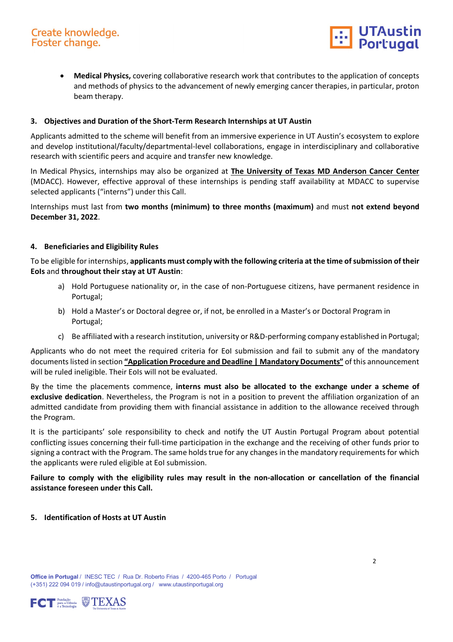

• **Medical Physics,** covering collaborative research work that contributes to the application of concepts and methods of physics to the advancement of newly emerging cancer therapies, in particular, proton beam therapy.

### **3. Objectives and Duration of the Short-Term Research Internships at UT Austin**

Applicants admitted to the scheme will benefit from an immersive experience in UT Austin's ecosystem to explore and develop institutional/faculty/departmental-level collaborations, engage in interdisciplinary and collaborative research with scientific peers and acquire and transfer new knowledge.

In Medical Physics, internships may also be organized at **The University of Texas [MD Anderson Cancer Center](https://www.mdanderson.org/)** (MDACC). However, effective approval of these internships is pending staff availability at MDACC to supervise selected applicants ("interns") under this Call.

Internships must last from **two months (minimum) to three months (maximum)** and must **not extend beyond December 31, 2022**.

### **4. Beneficiaries and Eligibility Rules**

To be eligible for internships, **applicants must comply with the following criteria at the time of submission of their EoIs** and **throughout their stay at UT Austin**:

- a) Hold Portuguese nationality or, in the case of non-Portuguese citizens, have permanent residence in Portugal;
- b) Hold a Master's or Doctoral degree or, if not, be enrolled in a Master's or Doctoral Program in Portugal;
- c) Be affiliated with a research institution, university or R&D-performing company established in Portugal;

Applicants who do not meet the required criteria for EoI submission and fail to submit any of the mandatory documents listed in section **["Application Procedure and Deadline | Mandatory Documents"](#page-3-0)** of this announcement will be ruled ineligible. Their EoIs will not be evaluated.

By the time the placements commence, **interns must also be allocated to the exchange under a scheme of exclusive dedication**. Nevertheless, the Program is not in a position to prevent the affiliation organization of an admitted candidate from providing them with financial assistance in addition to the allowance received through the Program.

It is the participants' sole responsibility to check and notify the UT Austin Portugal Program about potential conflicting issues concerning their full-time participation in the exchange and the receiving of other funds prior to signing a contract with the Program. The same holds true for any changes in the mandatory requirements for which the applicants were ruled eligible at EoI submission.

**Failure to comply with the eligibility rules may result in the non-allocation or cancellation of the financial assistance foreseen under this Call.**

**5. Identification of Hosts at UT Austin**

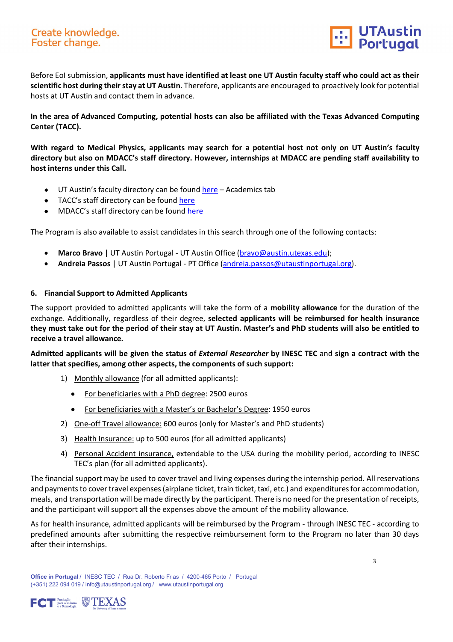# Create knowledge. Foster change.



Before EoI submission, **applicants must have identified at least one UT Austin faculty staff who could act as their scientific host during their stay at UT Austin**. Therefore, applicants are encouraged to proactively look for potential hosts at UT Austin and contact them in advance.

**In the area of Advanced Computing, potential hosts can also be affiliated with the Texas Advanced Computing Center (TACC).** 

**With regard to Medical Physics, applicants may search for a potential host not only on UT Austin's faculty directory but also on MDACC's staff directory. However, internships at MDACC are pending staff availability to host interns under this Call.**

- UT Austin's faculty directory can be found [here](https://www.utexas.edu/faculty-and-staff-resources) Academics tab
- TACC's staff directory can be found [here](https://www.tacc.utexas.edu/about/directory;jsessionid=2D8A779EAD843CFD540435F0A145A232)
- MDACC's staff directory can be found [here](https://faculty.mdanderson.org/)

The Program is also available to assist candidates in this search through one of the following contacts:

- **Marco Bravo** | UT Austin Portugal UT Austin Office [\(bravo@austin.utexas.edu\)](mailto:bravo@austin.utexas.edu);
- **Andreia Passos** | UT Austin Portugal PT Office [\(andreia.passos@utaustinportugal.org\)](mailto:andreia.passos@utaustinportugal.org).

### **6. Financial Support to Admitted Applicants**

The support provided to admitted applicants will take the form of a **mobility allowance** for the duration of the exchange. Additionally, regardless of their degree, **selected applicants will be reimbursed for health insurance they must take out for the period of their stay at UT Austin. Master's and PhD students will also be entitled to receive a travel allowance.** 

**Admitted applicants will be given the status of** *External Researcher* **by INESC TEC** and **sign a contract with the latter that specifies, among other aspects, the components of such support:**

- 1) Monthly allowance (for all admitted applicants):
	- For beneficiaries with a PhD degree: 2500 euros
	- For beneficiaries with a Master's or Bachelor's Degree: 1950 euros
- 2) One-off Travel allowance: 600 euros (only for Master's and PhD students)
- 3) Health Insurance: up to 500 euros (for all admitted applicants)
- 4) Personal Accident insurance, extendable to the USA during the mobility period, according to INESC TEC's plan (for all admitted applicants).

The financial support may be used to cover travel and living expenses during the internship period. All reservations and payments to cover travel expenses (airplane ticket, train ticket, taxi, etc.) and expenditures for accommodation, meals, and transportation will be made directly by the participant. There is no need for the presentation of receipts, and the participant will support all the expenses above the amount of the mobility allowance.

As for health insurance, admitted applicants will be reimbursed by the Program - through INESC TEC - according to predefined amounts after submitting the respective reimbursement form to the Program no later than 30 days after their internships.

**Office in Portugal** / INESC TEC / Rua Dr. Roberto Frias / 4200-465 Porto / Portugal (+351) 222 094 019 / info@utaustinportugal.org / [www.utaustinportugal.org](http://www.utaustinportugal.org/)

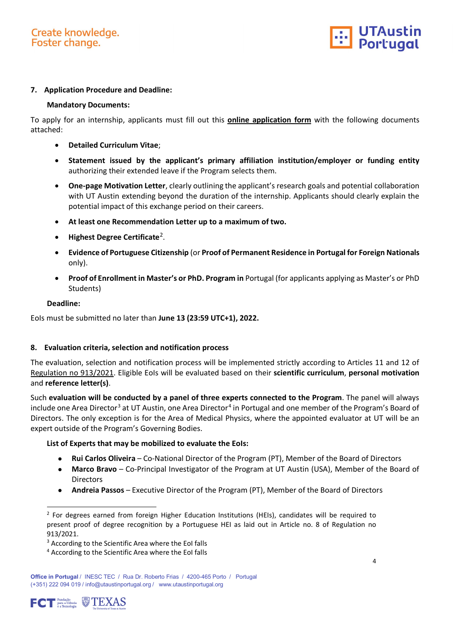

### **7. Application Procedure and Deadline:**

### <span id="page-3-0"></span>**Mandatory Documents:**

To apply for an internship, applicants must fill out this **[online application form](https://survey.inesctec.pt/index.php/938867?lang=en)** with the following documents attached:

- **Detailed Curriculum Vitae**;
- **Statement issued by the applicant's primary affiliation institution/employer or funding entity** authorizing their extended leave if the Program selects them.
- **One-page Motivation Letter**, clearly outlining the applicant's research goals and potential collaboration with UT Austin extending beyond the duration of the internship. Applicants should clearly explain the potential impact of this exchange period on their careers.
- **At least one Recommendation Letter up to a maximum of two.**
- **Highest Degree Certificate**[2](#page-3-1).
- **Evidence of Portuguese Citizenship** (or **Proof of Permanent Residence in Portugal for Foreign Nationals** only).
- **Proof of Enrollment in Master's or PhD. Program in** Portugal (for applicants applying as Master's or PhD Students)

### **Deadline:**

EoIs must be submitted no later than **June 13 (23:59 UTC+1), 2022.**

### **8. Evaluation criteria, selection and notification process**

The evaluation, selection and notification process will be implemented strictly according to Articles 11 and 12 of [Regulation no 913/2021.](https://dre.pt/dre/detalhe/regulamento/913-2021-172872996) Eligible EoIs will be evaluated based on their **scientific curriculum**, **personal motivation** and **reference letter(s)**.

Such **evaluation will be conducted by a panel of three experts connected to the Program**. The panel will always include one Area Director<sup>[3](#page-3-2)</sup> at UT Austin, one Area Director<sup>[4](#page-3-3)</sup> in Portugal and one member of the Program's Board of Directors. The only exception is for the Area of Medical Physics, where the appointed evaluator at UT will be an expert outside of the Program's Governing Bodies.

### **List of Experts that may be mobilized to evaluate the EoIs:**

- **Rui Carlos Oliveira** Co-National Director of the Program (PT), Member of the Board of Directors
- **Marco Bravo** Co-Principal Investigator of the Program at UT Austin (USA), Member of the Board of Directors
- **Andreia Passos**  Executive Director of the Program (PT), Member of the Board of Directors

<span id="page-3-3"></span><span id="page-3-2"></span>**Office in Portugal** / INESC TEC / Rua Dr. Roberto Frias / 4200-465 Porto / Portugal (+351) 222 094 019 / info@utaustinportugal.org / [www.utaustinportugal.org](http://www.utaustinportugal.org/)



-

<span id="page-3-1"></span> $<sup>2</sup>$  For degrees earned from foreign Higher Education Institutions (HEIs), candidates will be required to</sup> present proof of degree recognition by a Portuguese HEI as laid out in Article no. 8 of [Regulation no](https://dre.pt/dre/detalhe/regulamento/913-2021-172872996)  [913/2021.](https://dre.pt/dre/detalhe/regulamento/913-2021-172872996)

<sup>&</sup>lt;sup>3</sup> According to the Scientific Area where the EoI falls

<sup>4</sup> According to the Scientific Area where the EoI falls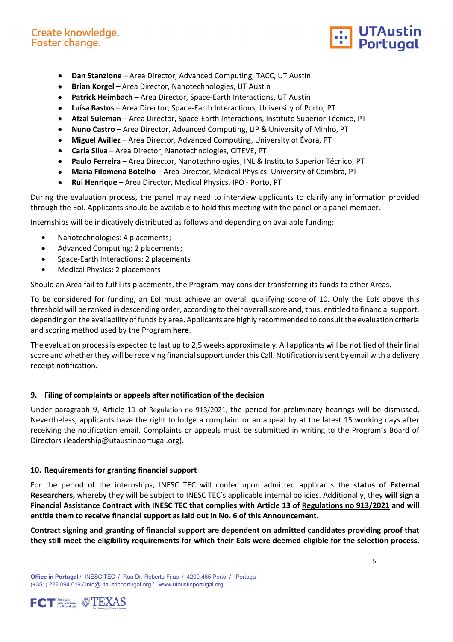## Create knowledge. Foster change.



- **Dan Stanzione** Area Director, Advanced Computing, TACC, UT Austin
- **Brian Korgel** Area Director, Nanotechnologies, UT Austin
- **Patrick Heimbach** Area Director, Space-Earth Interactions, UT Austin
- **Luísa Bastos** Area Director, Space-Earth Interactions, University of Porto, PT
- **Afzal Suleman** Area Director, Space-Earth Interactions, Instituto Superior Técnico, PT
- **Nuno Castro** Area Director, Advanced Computing, LIP & University of Minho, PT
- **Miguel Avillez** Area Director, Advanced Computing, University of Évora, PT
- **Carla Silva** Area Director, Nanotechnologies, CITEVE, PT
- **Paulo Ferreira** Area Director, Nanotechnologies, INL & Instituto Superior Técnico, PT
- **Maria Filomena Botelho** Area Director, Medical Physics, University of Coimbra, PT
- **Rui Henrique**  Area Director, Medical Physics, IPO Porto, PT

During the evaluation process, the panel may need to interview applicants to clarify any information provided through the EoI. Applicants should be available to hold this meeting with the panel or a panel member.

Internships will be indicatively distributed as follows and depending on available funding:

- Nanotechnologies: 4 placements;
- Advanced Computing: 2 placements;
- Space-Earth Interactions: 2 placements
- Medical Physics: 2 placements

Should an Area fail to fulfil its placements, the Program may consider transferring its funds to other Areas.

To be considered for funding, an EoI must achieve an overall qualifying score of 10. Only the EoIs above this threshold will be ranked in descending order, according to their overall score and, thus, entitled to financial support, depending on the availability of funds by area. Applicants are highly recommended to consult the evaluation criteria and scoring method used by the Program **[here](https://drive.inesctec.pt/s/MLaoEg6wFM73H4E)**.

The evaluation process is expected to last up to 2,5 weeks approximately. All applicants will be notified of their final score and whether they will be receiving financial support under this Call. Notification is sent by email with a delivery receipt notification.

## **9. Filing of complaints or appeals after notification of the decision**

Under paragraph 9, Article 11 of [Regulation no 913/2021,](https://dre.pt/dre/detalhe/regulamento/913-2021-172872996) the period for preliminary hearings will be dismissed. Nevertheless, applicants have the right to lodge a complaint or an appeal by at the latest 15 working days after receiving the notification email. Complaints or appeals must be submitted in writing to the Program's Board of Directors [\(leadership@utaustinportugal.org\)](mailto:leadership@utaustinportugal.org).

## **10. Requirements for granting financial support**

For the period of the internships, INESC TEC will confer upon admitted applicants the **status of External Researchers,** whereby they will be subject to INESC TEC's applicable internal policies. Additionally, they **will sign a Financial Assistance Contract with INESC TEC that complies with Article 13 of Regulations [no 913/2021](https://dre.pt/dre/detalhe/regulamento/913-2021-172872996) and will entitle them to receive financial support as laid out in No. 6 of this Announcement**.

**Contract signing and granting of financial support are dependent on admitted candidates providing proof that they still meet the eligibility requirements for which their EoIs were deemed eligible for the selection process.**

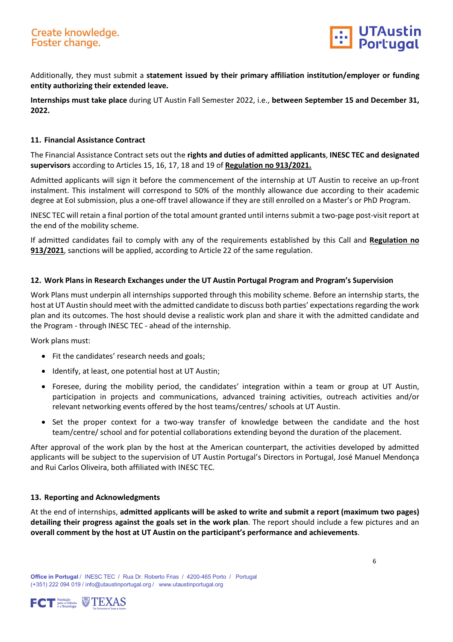

Additionally, they must submit a **statement issued by their primary affiliation institution/employer or funding entity authorizing their extended leave.**

**Internships must take place** during UT Austin Fall Semester 2022, i.e., **between September 15 and December 31, 2022.**

### **11. Financial Assistance Contract**

The Financial Assistance Contract sets out the **rights and duties of admitted applicants**, **INESC TEC and designated supervisors** according to Articles 15, 16, 17, 18 and 19 of **[Regulation no 913/2021.](https://dre.pt/dre/detalhe/regulamento/913-2021-172872996)**

Admitted applicants will sign it before the commencement of the internship at UT Austin to receive an up-front instalment. This instalment will correspond to 50% of the monthly allowance due according to their academic degree at EoI submission, plus a one-off travel allowance if they are still enrolled on a Master's or PhD Program.

INESC TEC will retain a final portion of the total amount granted until interns submit a two-page post-visit report at the end of the mobility scheme.

If admitted candidates fail to comply with any of the requirements established by this Call and **[Regulation no](https://dre.pt/dre/detalhe/regulamento/913-2021-172872996)  [913/2021](https://dre.pt/dre/detalhe/regulamento/913-2021-172872996)**, sanctions will be applied, according to Article 22 of the same regulation.

### **12. Work Plans in Research Exchanges under the UT Austin Portugal Program and Program's Supervision**

Work Plans must underpin all internships supported through this mobility scheme. Before an internship starts, the host at UT Austin should meet with the admitted candidate to discuss both parties' expectations regarding the work plan and its outcomes. The host should devise a realistic work plan and share it with the admitted candidate and the Program - through INESC TEC - ahead of the internship.

Work plans must:

- Fit the candidates' research needs and goals;
- Identify, at least, one potential host at UT Austin;
- Foresee, during the mobility period, the candidates' integration within a team or group at UT Austin, participation in projects and communications, advanced training activities, outreach activities and/or relevant networking events offered by the host teams/centres/ schools at UT Austin.
- Set the proper context for a two-way transfer of knowledge between the candidate and the host team/centre/ school and for potential collaborations extending beyond the duration of the placement.

After approval of the work plan by the host at the American counterpart, the activities developed by admitted applicants will be subject to the supervision of UT Austin Portugal's Directors in Portugal, José Manuel Mendonça and Rui Carlos Oliveira, both affiliated with INESC TEC.

#### **13. Reporting and Acknowledgments**

At the end of internships, **admitted applicants will be asked to write and submit a report (maximum two pages) detailing their progress against the goals set in the work plan**. The report should include a few pictures and an **overall comment by the host at UT Austin on the participant's performance and achievements**.